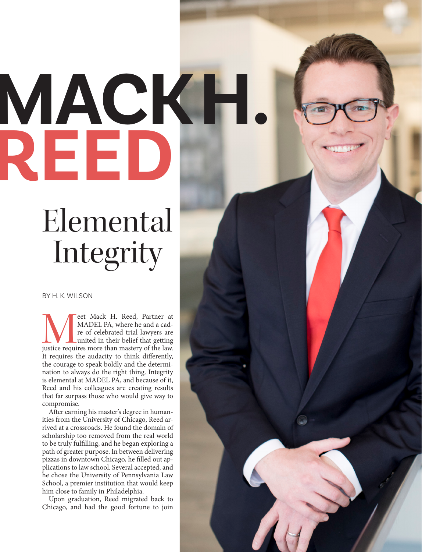## **MACK H. REED**

## Elemental Integrity

## BY H. K. WILSON

MADEL PA, where he and a cadre of celebrated trial lawyers are united in their belief that getting justice requires more than mastery of the law. MADEL PA, where he and a cadre of celebrated trial lawyers are united in their belief that getting It requires the audacity to think differently, the courage to speak boldly and the determination to always do the right thing. Integrity is elemental at MADEL PA, and because of it, Reed and his colleagues are creating results that far surpass those who would give way to compromise.

After earning his master's degree in humanities from the University of Chicago, Reed arrived at a crossroads. He found the domain of scholarship too removed from the real world to be truly fulfilling, and he began exploring a path of greater purpose. In between delivering pizzas in downtown Chicago, he filled out applications to law school. Several accepted, and he chose the University of Pennsylvania Law School, a premier institution that would keep him close to family in Philadelphia.

Upon graduation, Reed migrated back to Chicago, and had the good fortune to join